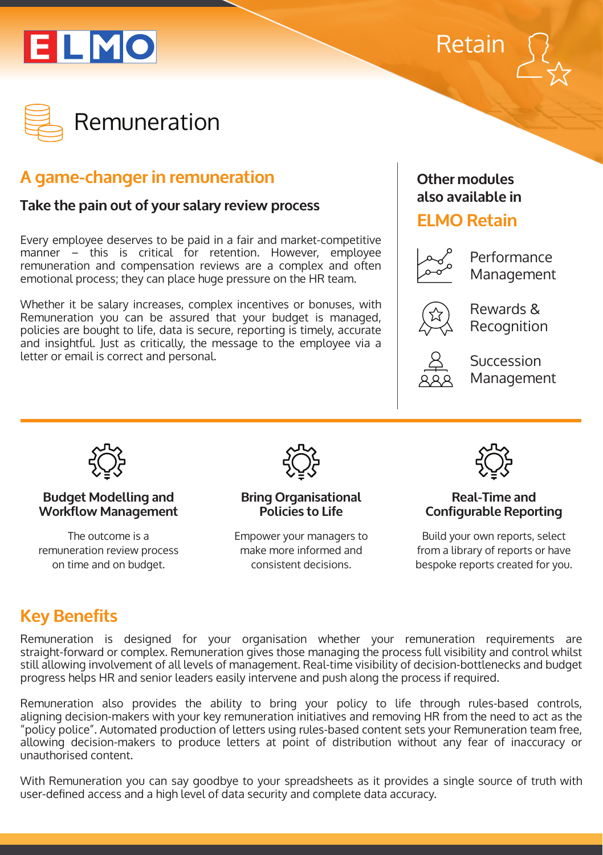





# **A game-changer in remuneration**

### **Take the pain out of your salary review process**

Every employee deserves to be paid in a fair and market-competitive manner – this is critical for retention. However, employee remuneration and compensation reviews are a complex and often emotional process; they can place huge pressure on the HR team.

Whether it be salary increases, complex incentives or bonuses, with Remuneration you can be assured that your budget is managed, policies are bought to life, data is secure, reporting is timely, accurate and insightful. Just as critically, the message to the employee via a letter or email is correct and personal.

### **Other modules also available in**

## **ELMO Retain**



Performance Management



Rewards & Recognition



Succession Management



#### **Budget Modelling and Workflow Management**

The outcome is a remuneration review process on time and on budget.



**Bring Organisational Policies to Life**

Empower your managers to make more informed and consistent decisions.



#### **Real-Time and Configurable Reporting**

Build your own reports, select from a library of reports or have bespoke reports created for you.

# **Key Benefits**

Remuneration is designed for your organisation whether your remuneration requirements are straight-forward or complex. Remuneration gives those managing the process full visibility and control whilst still allowing involvement of all levels of management. Real-time visibility of decision-bottlenecks and budget progress helps HR and senior leaders easily intervene and push along the process if required.

Remuneration also provides the ability to bring your policy to life through rules-based controls, aligning decision-makers with your key remuneration initiatives and removing HR from the need to act as the "policy police". Automated production of letters using rules-based content sets your Remuneration team free, allowing decision-makers to produce letters at point of distribution without any fear of inaccuracy or unauthorised content.

With Remuneration you can say goodbye to your spreadsheets as it provides a single source of truth with user-defined access and a high level of data security and complete data accuracy.